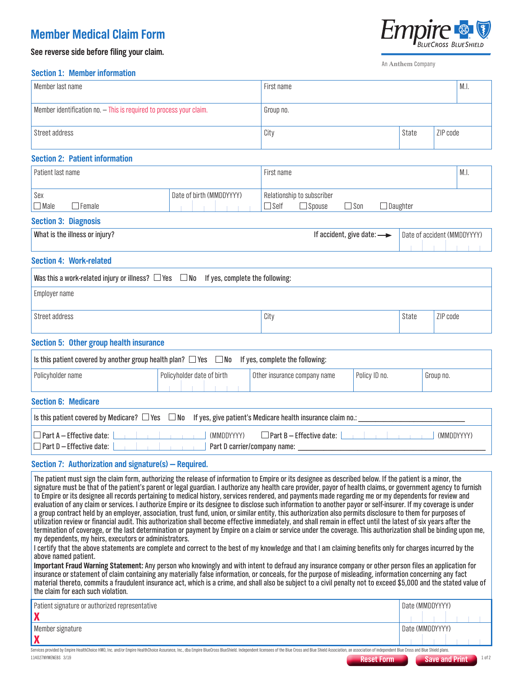## **Member Medical Claim Form**

**See reverse side before filing your claim.**

An Anthem Company

#### **Section 1: Member information**

| Member last name                                                    | First name |       |          | $^{\prime}$ M.I. |
|---------------------------------------------------------------------|------------|-------|----------|------------------|
| Member identification no. - This is required to process your claim. | Group no.  |       |          |                  |
| Street address                                                      | City       | State | ZIP code |                  |

### **Section 2: Patient information**

| Patient last name       |                          | First name |                            |      |           | M.I. |
|-------------------------|--------------------------|------------|----------------------------|------|-----------|------|
| Sex                     | Date of birth (MMDDYYYY) |            | Relationship to subscriber |      |           |      |
| $\Box$ Male<br>l Female |                          | l Self     | <sup>I</sup> Spouse        | ⊿Son | ∃Daughter |      |

#### **Section 3: Diagnosis**

| What is the illness or injury? | If accident, give date: $\longrightarrow$ |  | Date of accident (MMDDYYYY) |  |  |  |  |
|--------------------------------|-------------------------------------------|--|-----------------------------|--|--|--|--|
|                                |                                           |  |                             |  |  |  |  |

#### **Section 4: Work-related**

| Was this a work-related injury or illness? $\square$ Yes $\square$ No If yes, complete the following: |      |       |          |
|-------------------------------------------------------------------------------------------------------|------|-------|----------|
| Employer name                                                                                         |      |       |          |
| Street address                                                                                        | City | State | ZIP code |

#### **Section 5: Other group health insurance**

| Is this patient covered by another group health plan? $\Box$ Yes $\Box$ No If yes, complete the following:            |                            |                              |               |           |  |  |
|-----------------------------------------------------------------------------------------------------------------------|----------------------------|------------------------------|---------------|-----------|--|--|
| Policyholder name                                                                                                     | Policyholder date of birth | Other insurance company name | Policy ID no. | Group no. |  |  |
| <b>Section 6: Medicare</b>                                                                                            |                            |                              |               |           |  |  |
| Is this patient covered by Medicare? $\Box$ Yes $\Box$ No If yes, give patient's Medicare health insurance claim no.: |                            |                              |               |           |  |  |
| $\Box$ Part A – Effective date: $\Box$<br><b>EXAMPLE THE CONTROL (MMDDYYYY)</b><br>(MMDDYYYY)                         |                            |                              |               |           |  |  |

 $\Box$  Part D – Effective date:  $\Box$  Part D carrier/company name:

#### **Section 7: Authorization and signature(s) — Required.**

The patient must sign the claim form, authorizing the release of information to Empire or its designee as described below. If the patient is a minor, the signature must be that of the patient's parent or legal guardian. I authorize any health care provider, payor of health claims, or government agency to furnish to Empire or its designee all records pertaining to medical history, services rendered, and payments made regarding me or my dependents for review and evaluation of any claim or services. I authorize Empire or its designee to disclose such information to another payor or self-insurer. If my coverage is under a group contract held by an employer, association, trust fund, union, or similar entity, this authorization also permits disclosure to them for purposes of utilization review or financial audit. This authorization shall become effective immediately, and shall remain in effect until the latest of six years after the termination of coverage, or the last determination or payment by Empire on a claim or service under the coverage. This authorization shall be binding upon me, my dependents, my heirs, executors or administrators.

I certify that the above statements are complete and correct to the best of my knowledge and that I am claiming benefits only for charges incurred by the above named patient.

**Important Fraud Warning Statement:** Any person who knowingly and with intent to defraud any insurance company or other person files an application for insurance or statement of claim containing any materially false information, or conceals, for the purpose of misleading, information concerning any fact material thereto, commits a fraudulent insurance act, which is a crime, and shall also be subject to a civil penalty not to exceed \$5,000 and the stated value of the claim for each such violation.

| Patient signature or authorized representative                                                                                                                                                                                 | Date (MMDDYYYY)          |
|--------------------------------------------------------------------------------------------------------------------------------------------------------------------------------------------------------------------------------|--------------------------|
|                                                                                                                                                                                                                                |                          |
| Member signature                                                                                                                                                                                                               | Date (MMDDYYYY)          |
|                                                                                                                                                                                                                                |                          |
| Services provided by Empire HealthChoice HMO, Inc. and/or Empire HealthChoice Assurance, Inc., dba Empire BlueCross BlueShield. Independent licensees of the Blue Cross and Blue Shield Association, an association of indepen |                          |
| 114027NYMENEBS 3/19<br><b>Reset Form</b>                                                                                                                                                                                       | 1 of 2<br>Save and Print |